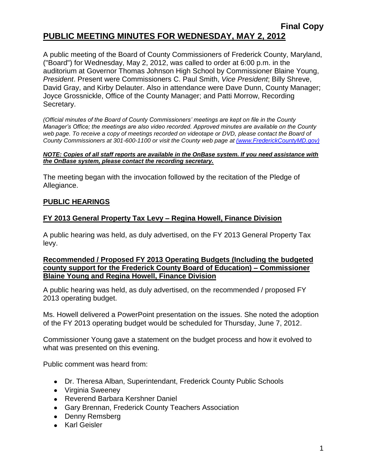### **Final Copy PUBLIC MEETING MINUTES FOR WEDNESDAY, MAY 2, 2012**

A public meeting of the Board of County Commissioners of Frederick County, Maryland, ("Board") for Wednesday, May 2, 2012, was called to order at 6:00 p.m. in the auditorium at Governor Thomas Johnson High School by Commissioner Blaine Young, *President*. Present were Commissioners C. Paul Smith, *Vice President*; Billy Shreve, David Gray, and Kirby Delauter. Also in attendance were Dave Dunn, County Manager; Joyce Grossnickle, Office of the County Manager; and Patti Morrow, Recording Secretary.

*(Official minutes of the Board of County Commissioners' meetings are kept on file in the County Manager's Office; the meetings are also video recorded. Approved minutes are available on the County web page. To receive a copy of meetings recorded on videotape or DVD, please contact the Board of County Commissioners at 301-600-1100 or visit the County web page at [\(www.FrederickCountyMD.gov\)](file://NT1S5/BOCC/BOCC/BOCC%20Minutes/Patti)*

#### *NOTE: Copies of all staff reports are available in the OnBase system. If you need assistance with the OnBase system, please contact the recording secretary.*

The meeting began with the invocation followed by the recitation of the Pledge of Allegiance.

### **PUBLIC HEARINGS**

### **FY 2013 General Property Tax Levy – Regina Howell, Finance Division**

A public hearing was held, as duly advertised, on the FY 2013 General Property Tax levy.

### **Recommended / Proposed FY 2013 Operating Budgets (Including the budgeted county support for the Frederick County Board of Education) – Commissioner Blaine Young and Regina Howell, Finance Division**

A public hearing was held, as duly advertised, on the recommended / proposed FY 2013 operating budget.

Ms. Howell delivered a PowerPoint presentation on the issues. She noted the adoption of the FY 2013 operating budget would be scheduled for Thursday, June 7, 2012.

Commissioner Young gave a statement on the budget process and how it evolved to what was presented on this evening.

Public comment was heard from:

- Dr. Theresa Alban, Superintendant, Frederick County Public Schools
- Virginia Sweeney
- Reverend Barbara Kershner Daniel
- Gary Brennan, Frederick County Teachers Association
- Denny Remsberg
- Karl Geisler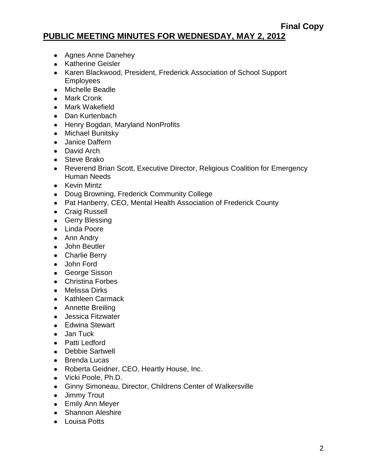## **PUBLIC MEETING MINUTES FOR WEDNESDAY, MAY 2, 2012**

- Agnes Anne Danehey
- Katherine Geisler
- Karen Blackwood, President, Frederick Association of School Support Employees
- Michelle Beadle
- Mark Cronk
- Mark Wakefield
- Dan Kurtenbach
- Henry Bogdan, Maryland NonProfits
- Michael Bunitsky
- Janice Daffern
- David Arch
- Steve Brako
- Reverend Brian Scott, Executive Director, Religious Coalition for Emergency Human Needs
- Kevin Mintz
- Doug Browning, Frederick Community College
- Pat Hanberry, CEO, Mental Health Association of Frederick County
- Craig Russell
- Gerry Blessing
- Linda Poore
- Ann Andry
- John Beutler
- Charlie Berry
- John Ford
- George Sisson
- Christina Forbes
- Melissa Dirks
- Kathleen Carmack
- Annette Breiling
- Jessica Fitzwater
- Edwina Stewart
- Jan Tuck
- Patti Ledford
- Debbie Sartwell
- Brenda Lucas
- Roberta Geidner, CEO, Heartly House, Inc.
- Vicki Poole, Ph.D.
- Ginny Simoneau, Director, Childrens Center of Walkersville
- Jimmy Trout
- Emily Ann Meyer
- Shannon Aleshire
- Louisa Potts